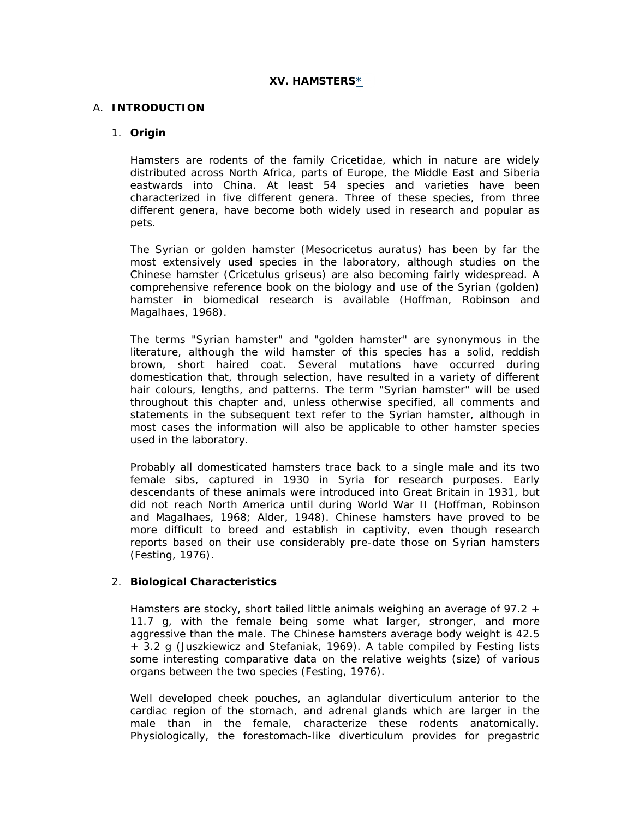# **XV. HAMSTERS\***

# A. **INTRODUCTION**

### 1. **Origin**

Hamsters are rodents of the family Cricetidae, which in nature are widely distributed across North Africa, parts of Europe, the Middle East and Siberia eastwards into China. At least 54 species and varieties have been characterized in five different genera. Three of these species, from three different genera, have become both widely used in research and popular as pets.

The Syrian or golden hamster (*Mesocricetus auratus*) has been by far the most extensively used species in the laboratory, although studies on the Chinese hamster (*Cricetulus griseus*) are also becoming fairly widespread. A comprehensive reference book on the biology and use of the Syrian (golden) hamster in biomedical research is available (Hoffman, Robinson and Magalhaes, 1968).

The terms "Syrian hamster" and "golden hamster" are synonymous in the literature, although the wild hamster of this species has a solid, reddish brown, short haired coat. Several mutations have occurred during domestication that, through selection, have resulted in a variety of different hair colours, lengths, and patterns. The term "Syrian hamster" will be used throughout this chapter and, unless otherwise specified, all comments and statements in the subsequent text refer to the Syrian hamster, although in most cases the information will also be applicable to other hamster species used in the laboratory.

Probably all domesticated hamsters trace back to a single male and its two female sibs, captured in 1930 in Syria for research purposes. Early descendants of these animals were introduced into Great Britain in 1931, but did not reach North America until during World War II (Hoffman, Robinson and Magalhaes, 1968; Alder, 1948). Chinese hamsters have proved to be more difficult to breed and establish in captivity, even though research reports based on their use considerably pre-date those on Syrian hamsters (Festing, 1976).

# 2. **Biological Characteristics**

Hamsters are stocky, short tailed little animals weighing an average of 97.2 + 11.7 g, with the female being some what larger, stronger, and more aggressive than the male. The Chinese hamsters average body weight is 42.5 + 3.2 g (Juszkiewicz and Stefaniak, 1969). A table compiled by Festing lists some interesting comparative data on the relative weights (size) of various organs between the two species (Festing, 1976).

Well developed cheek pouches, an aglandular diverticulum anterior to the cardiac region of the stomach, and adrenal glands which are larger in the male than in the female, characterize these rodents anatomically. Physiologically, the forestomach-like diverticulum provides for pregastric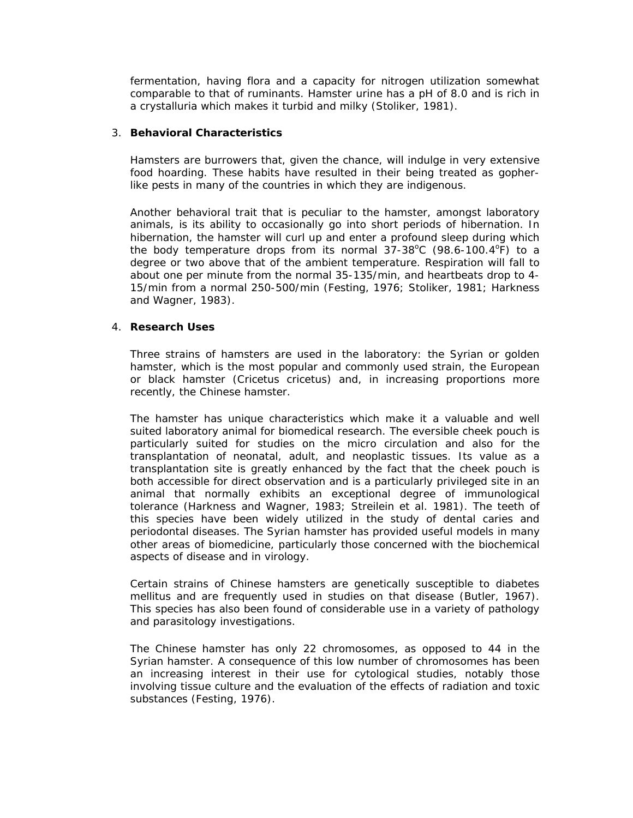fermentation, having flora and a capacity for nitrogen utilization somewhat comparable to that of ruminants. Hamster urine has a pH of 8.0 and is rich in a crystalluria which makes it turbid and milky (Stoliker, 1981).

### 3. **Behavioral Characteristics**

Hamsters are burrowers that, given the chance, will indulge in very extensive food hoarding. These habits have resulted in their being treated as gopherlike pests in many of the countries in which they are indigenous.

Another behavioral trait that is peculiar to the hamster, amongst laboratory animals, is its ability to occasionally go into short periods of hibernation. In hibernation, the hamster will curl up and enter a profound sleep during which the body temperature drops from its normal  $37-38^{\circ}$ C (98.6-100.4 $^{\circ}$ F) to a degree or two above that of the ambient temperature. Respiration will fall to about one per minute from the normal 35-135/min, and heartbeats drop to 4- 15/min from a normal 250-500/min (Festing, 1976; Stoliker, 1981; Harkness and Wagner, 1983).

### 4. **Research Uses**

Three strains of hamsters are used in the laboratory: the Syrian or golden hamster, which is the most popular and commonly used strain, the European or black hamster (*Cricetus cricetus*) and, in increasing proportions more recently, the Chinese hamster.

The hamster has unique characteristics which make it a valuable and well suited laboratory animal for biomedical research. The eversible cheek pouch is particularly suited for studies on the micro circulation and also for the transplantation of neonatal, adult, and neoplastic tissues. Its value as a transplantation site is greatly enhanced by the fact that the cheek pouch is both accessible for direct observation and is a particularly privileged site in an animal that normally exhibits an exceptional degree of immunological tolerance (Harkness and Wagner, 1983; Streilein *et al.* 1981). The teeth of this species have been widely utilized in the study of dental caries and periodontal diseases. The Syrian hamster has provided useful models in many other areas of biomedicine, particularly those concerned with the biochemical aspects of disease and in virology.

Certain strains of Chinese hamsters are genetically susceptible to diabetes mellitus and are frequently used in studies on that disease (Butler, 1967). This species has also been found of considerable use in a variety of pathology and parasitology investigations.

The Chinese hamster has only 22 chromosomes, as opposed to 44 in the Syrian hamster. A consequence of this low number of chromosomes has been an increasing interest in their use for cytological studies, notably those involving tissue culture and the evaluation of the effects of radiation and toxic substances (Festing, 1976).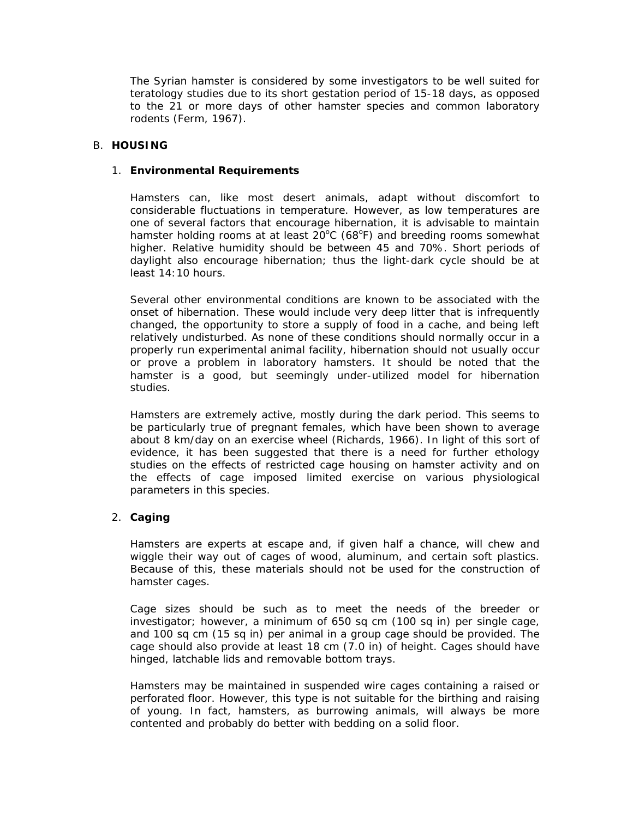The Syrian hamster is considered by some investigators to be well suited for teratology studies due to its short gestation period of 15-18 days, as opposed to the 21 or more days of other hamster species and common laboratory rodents (Ferm, 1967).

### B. **HOUSING**

### 1. **Environmental Requirements**

Hamsters can, like most desert animals, adapt without discomfort to considerable fluctuations in temperature. However, as low temperatures are one of several factors that encourage hibernation, it is advisable to maintain hamster holding rooms at at least  $20^{\circ}$ C (68 $^{\circ}$ F) and breeding rooms somewhat higher. Relative humidity should be between 45 and 70%. Short periods of daylight also encourage hibernation; thus the light-dark cycle should be at least 14:10 hours.

Several other environmental conditions are known to be associated with the onset of hibernation. These would include very deep litter that is infrequently changed, the opportunity to store a supply of food in a cache, and being left relatively undisturbed. As none of these conditions should normally occur in a properly run experimental animal facility, hibernation should not usually occur or prove a problem in laboratory hamsters. It should be noted that the hamster is a good, but seemingly under-utilized model for hibernation studies.

Hamsters are extremely active, mostly during the dark period. This seems to be particularly true of pregnant females, which have been shown to average about 8 km/day on an exercise wheel (Richards, 1966). In light of this sort of evidence, it has been suggested that there is a need for further ethology studies on the effects of restricted cage housing on hamster activity and on the effects of cage imposed limited exercise on various physiological parameters in this species.

# 2. **Caging**

Hamsters are experts at escape and, if given half a chance, will chew and wiggle their way out of cages of wood, aluminum, and certain soft plastics. Because of this, these materials should not be used for the construction of hamster cages.

Cage sizes should be such as to meet the needs of the breeder or investigator; however, a minimum of 650 sq cm (100 sq in) per single cage, and 100 sq cm (15 sq in) per animal in a group cage should be provided. The cage should also provide at least 18 cm (7.0 in) of height. Cages should have hinged, latchable lids and removable bottom trays.

Hamsters may be maintained in suspended wire cages containing a raised or perforated floor. However, this type is not suitable for the birthing and raising of young. In fact, hamsters, as burrowing animals, will always be more contented and probably do better with bedding on a solid floor.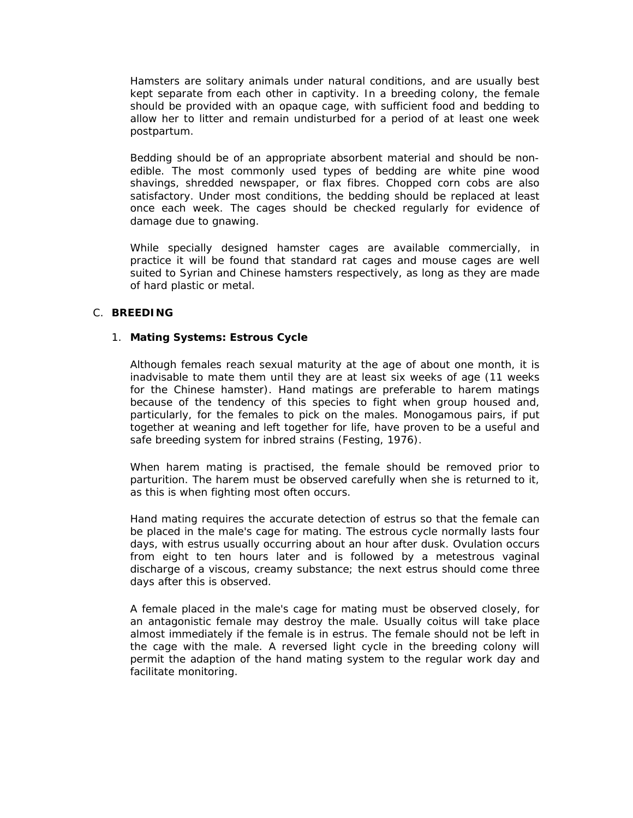Hamsters are solitary animals under natural conditions, and are usually best kept separate from each other in captivity. In a breeding colony, the female should be provided with an opaque cage, with sufficient food and bedding to allow her to litter and remain undisturbed for a period of at least one week postpartum.

Bedding should be of an appropriate absorbent material and should be nonedible. The most commonly used types of bedding are white pine wood shavings, shredded newspaper, or flax fibres. Chopped corn cobs are also satisfactory. Under most conditions, the bedding should be replaced at least once each week. The cages should be checked regularly for evidence of damage due to gnawing.

While specially designed hamster cages are available commercially, in practice it will be found that standard rat cages and mouse cages are well suited to Syrian and Chinese hamsters respectively, as long as they are made of hard plastic or metal.

# C. **BREEDING**

# 1. **Mating Systems: Estrous Cycle**

Although females reach sexual maturity at the age of about one month, it is inadvisable to mate them until they are at least six weeks of age (11 weeks for the Chinese hamster). Hand matings are preferable to harem matings because of the tendency of this species to fight when group housed and, particularly, for the females to pick on the males. Monogamous pairs, if put together at weaning and left together for life, have proven to be a useful and safe breeding system for inbred strains (Festing, 1976).

When harem mating is practised, the female should be removed prior to parturition. The harem must be observed carefully when she is returned to it, as this is when fighting most often occurs.

Hand mating requires the accurate detection of estrus so that the female can be placed in the male's cage for mating. The estrous cycle normally lasts four days, with estrus usually occurring about an hour after dusk. Ovulation occurs from eight to ten hours later and is followed by a metestrous vaginal discharge of a viscous, creamy substance; the next estrus should come three days after this is observed.

A female placed in the male's cage for mating must be observed closely, for an antagonistic female may destroy the male. Usually coitus will take place almost immediately if the female is in estrus. The female should not be left in the cage with the male. A reversed light cycle in the breeding colony will permit the adaption of the hand mating system to the regular work day and facilitate monitoring.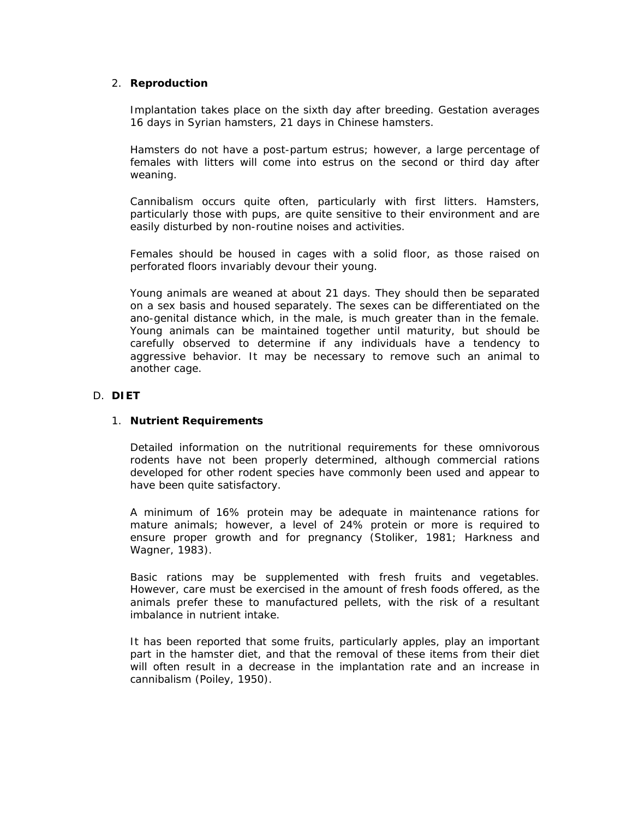# 2. **Reproduction**

Implantation takes place on the sixth day after breeding. Gestation averages 16 days in Syrian hamsters, 21 days in Chinese hamsters.

Hamsters do not have a *post-partum* estrus; however, a large percentage of females with litters will come into estrus on the second or third day after weaning.

Cannibalism occurs quite often, particularly with first litters. Hamsters, particularly those with pups, are quite sensitive to their environment and are easily disturbed by non-routine noises and activities.

Females should be housed in cages with a solid floor, as those raised on perforated floors invariably devour their young.

Young animals are weaned at about 21 days. They should then be separated on a sex basis and housed separately. The sexes can be differentiated on the ano-genital distance which, in the male, is much greater than in the female. Young animals can be maintained together until maturity, but should be carefully observed to determine if any individuals have a tendency to aggressive behavior. It may be necessary to remove such an animal to another cage.

### D. **DIET**

### 1. **Nutrient Requirements**

Detailed information on the nutritional requirements for these omnivorous rodents have not been properly determined, although commercial rations developed for other rodent species have commonly been used and appear to have been quite satisfactory.

A minimum of 16% protein may be adequate in maintenance rations for mature animals; however, a level of 24% protein or more is required to ensure proper growth and for pregnancy (Stoliker, 1981; Harkness and Wagner, 1983).

Basic rations may be supplemented with fresh fruits and vegetables. However, care must be exercised in the amount of fresh foods offered, as the animals prefer these to manufactured pellets, with the risk of a resultant imbalance in nutrient intake.

It has been reported that some fruits, particularly apples, play an important part in the hamster diet, and that the removal of these items from their diet will often result in a decrease in the implantation rate and an increase in cannibalism (Poiley, 1950).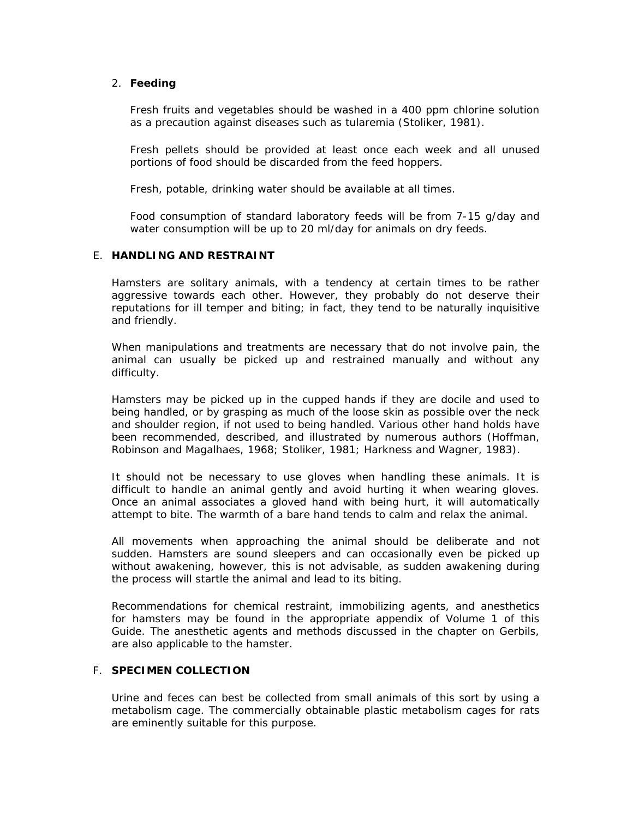# 2. **Feeding**

Fresh fruits and vegetables should be washed in a 400 ppm chlorine solution as a precaution against diseases such as tularemia (Stoliker, 1981).

Fresh pellets should be provided at least once each week and all unused portions of food should be discarded from the feed hoppers.

Fresh, potable, drinking water should be available at all times.

Food consumption of standard laboratory feeds will be from 7-15 g/day and water consumption will be up to 20 ml/day for animals on dry feeds.

### E. **HANDLING AND RESTRAINT**

Hamsters are solitary animals, with a tendency at certain times to be rather aggressive towards each other. However, they probably do not deserve their reputations for ill temper and biting; in fact, they tend to be naturally inquisitive and friendly.

When manipulations and treatments are necessary that do not involve pain, the animal can usually be picked up and restrained manually and without any difficulty.

Hamsters may be picked up in the cupped hands if they are docile and used to being handled, or by grasping as much of the loose skin as possible over the neck and shoulder region, if not used to being handled. Various other hand holds have been recommended, described, and illustrated by numerous authors (Hoffman, Robinson and Magalhaes, 1968; Stoliker, 1981; Harkness and Wagner, 1983).

It should not be necessary to use gloves when handling these animals. It is difficult to handle an animal gently and avoid hurting it when wearing gloves. Once an animal associates a gloved hand with being hurt, it will automatically attempt to bite. The warmth of a bare hand tends to calm and relax the animal.

All movements when approaching the animal should be deliberate and not sudden. Hamsters are sound sleepers and can occasionally even be picked up without awakening, however, this is not advisable, as sudden awakening during the process will startle the animal and lead to its biting.

Recommendations for chemical restraint, immobilizing agents, and anesthetics for hamsters may be found in the appropriate appendix of Volume 1 of this Guide. The anesthetic agents and methods discussed in the chapter on Gerbils, are also applicable to the hamster.

# F. **SPECIMEN COLLECTION**

Urine and feces can best be collected from small animals of this sort by using a metabolism cage. The commercially obtainable plastic metabolism cages for rats are eminently suitable for this purpose.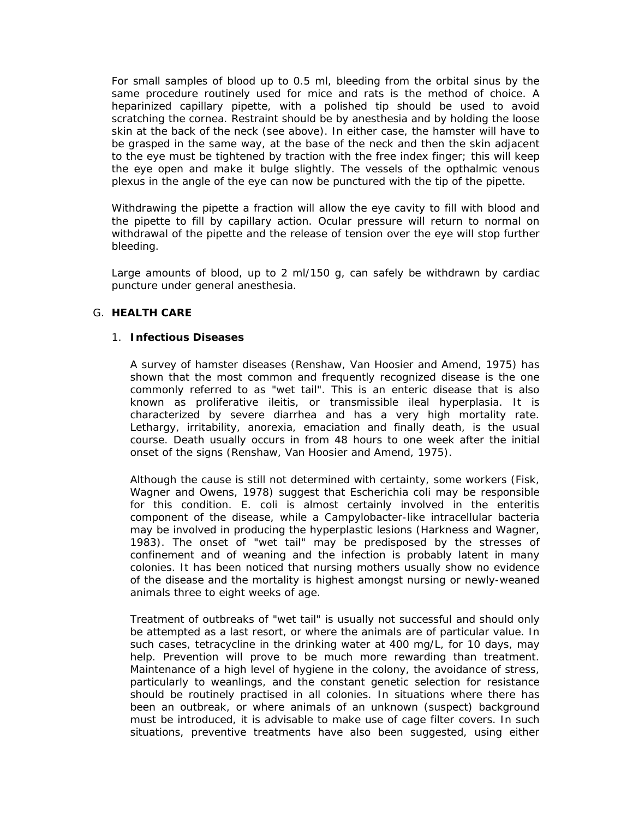For small samples of blood up to 0.5 ml, bleeding from the orbital sinus by the same procedure routinely used for mice and rats is the method of choice. A heparinized capillary pipette, with a polished tip should be used to avoid scratching the cornea. Restraint should be by anesthesia and by holding the loose skin at the back of the neck (see above). In either case, the hamster will have to be grasped in the same way, at the base of the neck and then the skin adjacent to the eye must be tightened by traction with the free index finger; this will keep the eye open and make it bulge slightly. The vessels of the opthalmic venous plexus in the angle of the eye can now be punctured with the tip of the pipette.

Withdrawing the pipette a fraction will allow the eye cavity to fill with blood and the pipette to fill by capillary action. Ocular pressure will return to normal on withdrawal of the pipette and the release of tension over the eye will stop further bleeding.

Large amounts of blood, up to 2 ml/150 g, can safely be withdrawn by cardiac puncture under general anesthesia.

# G. **HEALTH CARE**

### 1. **Infectious Diseases**

A survey of hamster diseases (Renshaw, Van Hoosier and Amend, 1975) has shown that the most common and frequently recognized disease is the one commonly referred to as "wet tail". This is an enteric disease that is also known as proliferative ileitis, or transmissible ileal hyperplasia. It is characterized by severe diarrhea and has a very high mortality rate. Lethargy, irritability, anorexia, emaciation and finally death, is the usual course. Death usually occurs in from 48 hours to one week after the initial onset of the signs (Renshaw, Van Hoosier and Amend, 1975).

Although the cause is still not determined with certainty, some workers (Fisk, Wagner and Owens, 1978) suggest that *Escherichia coli* may be responsible for this condition. E. coli is almost certainly involved in the enteritis component of the disease, while a *Campylobacter*-like intracellular bacteria may be involved in producing the hyperplastic lesions (Harkness and Wagner, 1983). The onset of "wet tail" may be predisposed by the stresses of confinement and of weaning and the infection is probably latent in many colonies. It has been noticed that nursing mothers usually show no evidence of the disease and the mortality is highest amongst nursing or newly-weaned animals three to eight weeks of age.

Treatment of outbreaks of "wet tail" is usually not successful and should only be attempted as a last resort, or where the animals are of particular value. In such cases, tetracycline in the drinking water at 400 mg/L, for 10 days, may help. Prevention will prove to be much more rewarding than treatment. Maintenance of a high level of hygiene in the colony, the avoidance of stress, particularly to weanlings, and the constant genetic selection for resistance should be routinely practised in all colonies. In situations where there has been an outbreak, or where animals of an unknown (suspect) background must be introduced, it is advisable to make use of cage filter covers. In such situations, preventive treatments have also been suggested, using either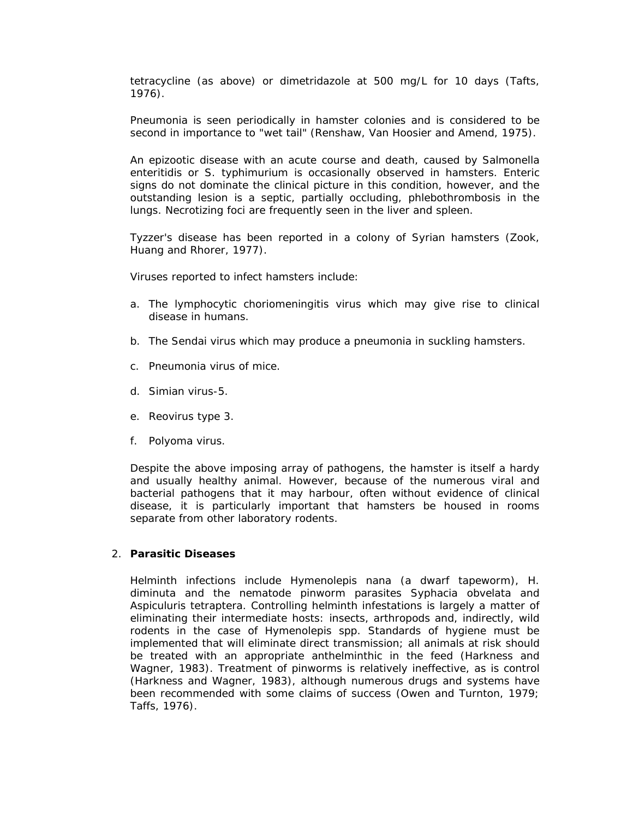tetracycline (as above) or dimetridazole at 500 mg/L for 10 days (Tafts, 1976).

Pneumonia is seen periodically in hamster colonies and is considered to be second in importance to "wet tail" (Renshaw, Van Hoosier and Amend, 1975).

An epizootic disease with an acute course and death, caused by *Salmonella enteritidis* or *S. typhimurium* is occasionally observed in hamsters. Enteric signs do not dominate the clinical picture in this condition, however, and the outstanding lesion is a septic, partially occluding, *phlebothrombosis in the lungs*. Necrotizing foci are frequently seen in the liver and spleen.

Tyzzer's disease has been reported in a colony of Syrian hamsters (Zook, Huang and Rhorer, 1977).

Viruses reported to infect hamsters include:

- a. The lymphocytic choriomeningitis virus which may give rise to clinical disease in humans.
- b. The Sendai virus which may produce a pneumonia in suckling hamsters.
- c. Pneumonia virus of mice.
- d. Simian virus-5.
- e. Reovirus type 3.
- f. Polyoma virus.

Despite the above imposing array of pathogens, the hamster is itself a hardy and usually healthy animal. However, because of the numerous viral and bacterial pathogens that it may harbour, often without evidence of clinical disease, it is particularly important that hamsters be housed in rooms separate from other laboratory rodents.

#### 2. **Parasitic Diseases**

Helminth infections include *Hymenolepis nana* (a dwarf tapeworm), *H. diminuta* and the nematode pinworm parasites *Syphacia obvelata* and *Aspiculuris tetraptera*. Controlling helminth infestations is largely a matter of eliminating their intermediate hosts: insects, arthropods and, indirectly, wild rodents in the case of Hymenolepis spp. Standards of hygiene must be implemented that will eliminate direct transmission; all animals at risk should be treated with an appropriate anthelminthic in the feed (Harkness and Wagner, 1983). Treatment of pinworms is relatively ineffective, as is control (Harkness and Wagner, 1983), although numerous drugs and systems have been recommended with some claims of success (Owen and Turnton, 1979; Taffs, 1976).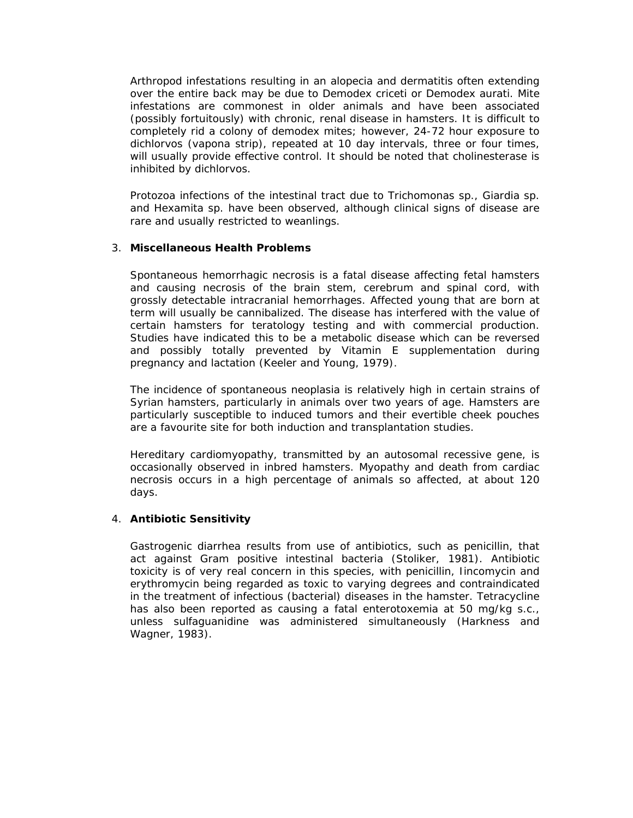Arthropod infestations resulting in an alopecia and dermatitis often extending over the entire back may be due to *Demodex criceti* or *Demodex aurati*. Mite infestations are commonest in older animals and have been associated (possibly fortuitously) with chronic, renal disease in hamsters. It is difficult to completely rid a colony of demodex mites; however, 24-72 hour exposure to dichlorvos (vapona strip), repeated at 10 day intervals, three or four times, will usually provide effective control. It should be noted that cholinesterase is inhibited by dichlorvos.

Protozoa infections of the intestinal tract due to *Trichomonas* sp., *Giardia* sp. and *Hexamita* sp. have been observed, although clinical signs of disease are rare and usually restricted to weanlings.

### 3. **Miscellaneous Health Problems**

Spontaneous hemorrhagic necrosis is a fatal disease affecting fetal hamsters and causing necrosis of the brain stem, cerebrum and spinal cord, with grossly detectable intracranial hemorrhages. Affected young that are born at term will usually be cannibalized. The disease has interfered with the value of certain hamsters for teratology testing and with commercial production. Studies have indicated this to be a metabolic disease which can be reversed and possibly totally prevented by Vitamin E supplementation during pregnancy and lactation (Keeler and Young, 1979).

The incidence of spontaneous neoplasia is relatively high in certain strains of Syrian hamsters, particularly in animals over two years of age. Hamsters are particularly susceptible to induced tumors and their evertible cheek pouches are a favourite site for both induction and transplantation studies.

Hereditary cardiomyopathy, transmitted by an autosomal recessive gene, is occasionally observed in inbred hamsters. Myopathy and death from cardiac necrosis occurs in a high percentage of animals so affected, at about 120 days.

# 4. **Antibiotic Sensitivity**

Gastrogenic diarrhea results from use of antibiotics, such as penicillin, that act against Gram positive intestinal bacteria (Stoliker, 1981). Antibiotic toxicity is of very real concern in this species, with penicillin, Iincomycin and erythromycin being regarded as toxic to varying degrees and contraindicated in the treatment of infectious (bacterial) diseases in the hamster. Tetracycline has also been reported as causing a fatal enterotoxemia at 50 mg/kg s.c., unless sulfaguanidine was administered simultaneously (Harkness and Wagner, 1983).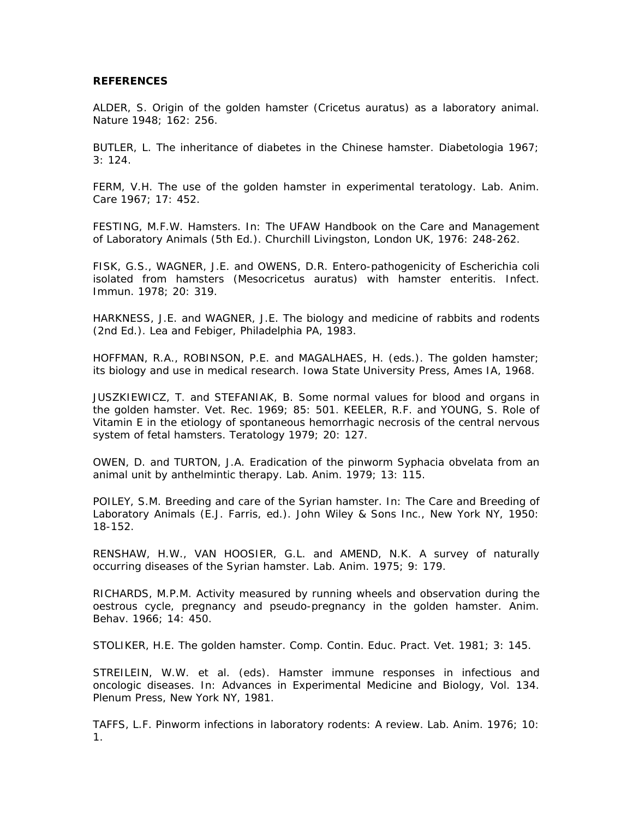#### **REFERENCES**

ALDER, S. Origin of the golden hamster (*Cricetus auratus*) as a laboratory animal. Nature 1948; 162: 256.

BUTLER, L. The inheritance of diabetes in the Chinese hamster. Diabetologia 1967; 3: 124.

FERM, V.H. The use of the golden hamster in experimental teratology. Lab. Anim. Care 1967; 17: 452.

FESTING, M.F.W. Hamsters. In: The UFAW Handbook on the Care and Management of Laboratory Animals (5th Ed.). Churchill Livingston, London UK, 1976: 248-262.

FISK, G.S., WAGNER, J.E. and OWENS, D.R. Entero-pathogenicity of *Escherichia coli* isolated from hamsters (*Mesocricetus auratus*) with hamster enteritis. Infect. Immun. 1978; 20: 319.

HARKNESS, J.E. and WAGNER, J.E. The biology and medicine of rabbits and rodents (2nd Ed.). Lea and Febiger, Philadelphia PA, 1983.

HOFFMAN, R.A., ROBINSON, P.E. and MAGALHAES, H. (eds.). The golden hamster; its biology and use in medical research. Iowa State University Press, Ames IA, 1968.

JUSZKIEWICZ, T. and STEFANIAK, B. Some normal values for blood and organs in the golden hamster. Vet. Rec. 1969; 85: 501. KEELER, R.F. and YOUNG, S. Role of Vitamin E in the etiology of spontaneous hemorrhagic necrosis of the central nervous system of fetal hamsters. Teratology 1979; 20: 127.

OWEN, D. and TURTON, J.A. Eradication of the pinworm *Syphacia obvelata* from an animal unit by anthelmintic therapy. Lab. Anim. 1979; 13: 115.

POILEY, S.M. Breeding and care of the Syrian hamster. In: The Care and Breeding of Laboratory Animals (E.J. Farris, ed.). John Wiley & Sons Inc., New York NY, 1950: 18-152.

RENSHAW, H.W., VAN HOOSIER, G.L. and AMEND, N.K. A survey of naturally occurring diseases of the Syrian hamster. Lab. Anim. 1975; 9: 179.

RICHARDS, M.P.M. Activity measured by running wheels and observation during the oestrous cycle, pregnancy and pseudo-pregnancy in the golden hamster. Anim. Behav. 1966; 14: 450.

STOLIKER, H.E. The golden hamster. Comp. Contin. Educ. Pract. Vet. 1981; 3: 145.

STREILEIN, W.W. *et al.* (eds). Hamster immune responses in infectious and oncologic diseases. In: Advances in Experimental Medicine and Biology, Vol. 134. Plenum Press, New York NY, 1981.

TAFFS, L.F. Pinworm infections in laboratory rodents: A review. Lab. Anim. 1976; 10: 1.